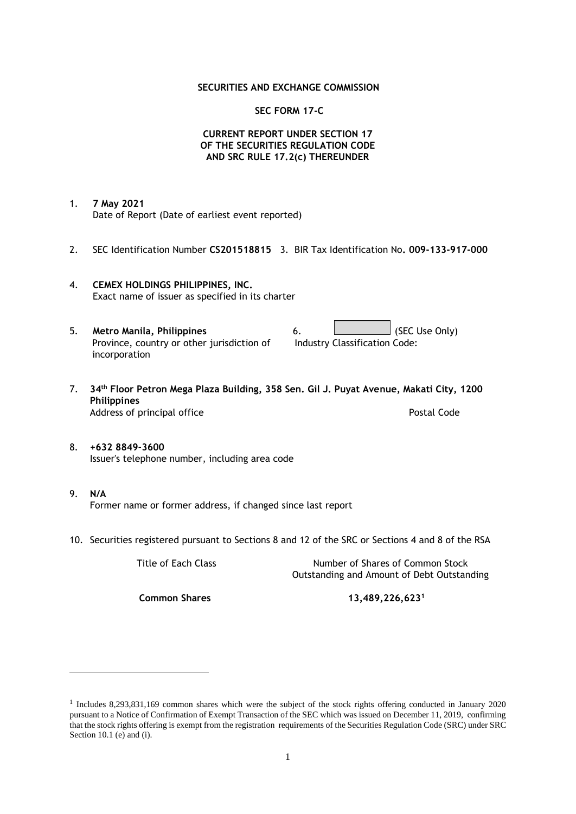### **SECURITIES AND EXCHANGE COMMISSION**

### **SEC FORM 17-C**

### **CURRENT REPORT UNDER SECTION 17 OF THE SECURITIES REGULATION CODE AND SRC RULE 17.2(c) THEREUNDER**

- 1. **7 May 2021** Date of Report (Date of earliest event reported)
- 2. SEC Identification Number **CS201518815** 3. BIR Tax Identification No**. 009-133-917-000**
- 4. **CEMEX HOLDINGS PHILIPPINES, INC.** Exact name of issuer as specified in its charter
- 5. **Metro Manila, Philippines** 6. **Consumers 6.** (SEC Use Only) Province, country or other jurisdiction of incorporation Industry Classification Code:
- 7. **34th Floor Petron Mega Plaza Building, 358 Sen. Gil J. Puyat Avenue, Makati City, 1200 Philippines** Address of principal office **Postal Code** Postal Code
- 8. **+632 8849-3600** Issuer's telephone number, including area code
- 9. **N/A** Former name or former address, if changed since last report
- 10. Securities registered pursuant to Sections 8 and 12 of the SRC or Sections 4 and 8 of the RSA

Title of Each Class Number of Shares of Common Stock Outstanding and Amount of Debt Outstanding

**Common Shares 13,489,226,623<sup>1</sup>**

<sup>1</sup> Includes 8,293,831,169 common shares which were the subject of the stock rights offering conducted in January 2020 pursuant to a Notice of Confirmation of Exempt Transaction of the SEC which was issued on December 11, 2019, confirming that the stock rights offering is exempt from the registration requirements of the Securities Regulation Code (SRC) under SRC Section 10.1 (e) and (i).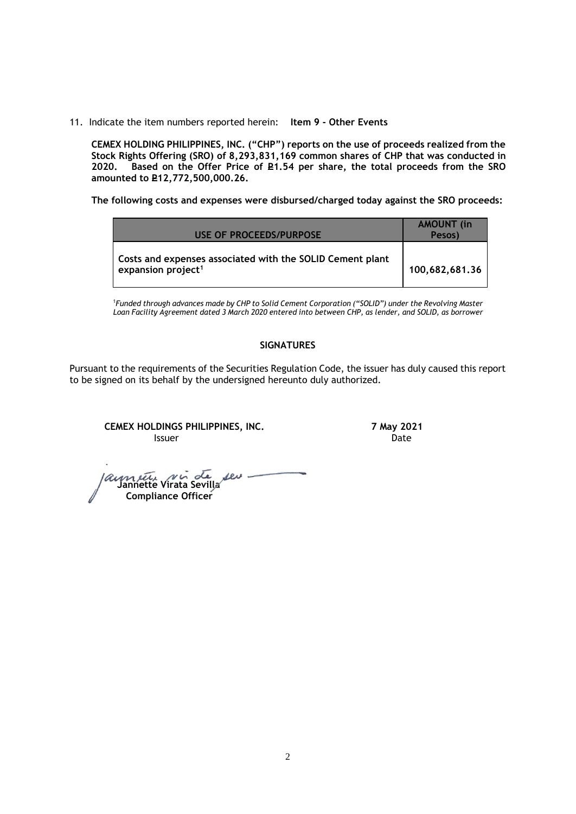11. Indicate the item numbers reported herein: **Item 9 - Other Events**

**CEMEX HOLDING PHILIPPINES, INC. ("CHP") reports on the use of proceeds realized from the Stock Rights Offering (SRO) of 8,293,831,169 common shares of CHP that was conducted in**  Based on the Offer Price of £1.54 per share, the total proceeds from the SRO **amounted to P12,772,500,000.26.** 

**The following costs and expenses were disbursed/charged today against the SRO proceeds:**

| USE OF PROCEEDS/PURPOSE                                                                     | <b>AMOUNT</b> (in<br>Pesos) |
|---------------------------------------------------------------------------------------------|-----------------------------|
| Costs and expenses associated with the SOLID Cement plant<br>expansion project <sup>1</sup> | 100,682,681.36              |

<sup>1</sup>*Funded through advances made by CHP to Solid Cement Corporation ("SOLID") under the Revolving Master Loan Facility Agreement dated 3 March 2020 entered into between CHP, as lender, and SOLID, as borrower*

# **SIGNATURES**

Pursuant to the requirements of the Securities Regulation Code, the issuer has duly caused this report to be signed on its behalf by the undersigned hereunto duly authorized.

**CEMEX HOLDINGS PHILIPPINES, INC. 7 May 2021 Issuer Community Community Community** Community Community Community Community Community Community Community Comm

 **Jannette Virata Sevilla** ser - **Compliance Officer**